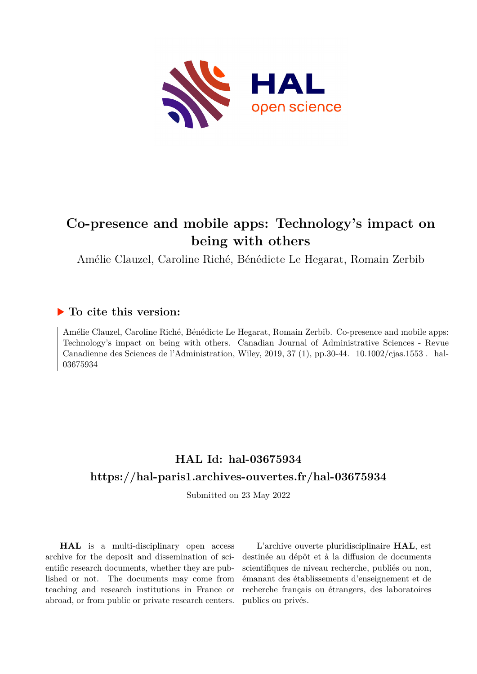

# **Co-presence and mobile apps: Technology's impact on being with others**

Amélie Clauzel, Caroline Riché, Bénédicte Le Hegarat, Romain Zerbib

# **To cite this version:**

Amélie Clauzel, Caroline Riché, Bénédicte Le Hegarat, Romain Zerbib. Co-presence and mobile apps: Technology's impact on being with others. Canadian Journal of Administrative Sciences - Revue Canadienne des Sciences de l'Administration, Wiley, 2019, 37 (1), pp.30-44.  $10.1002/c$ jas.1553. hal-03675934ff

# **HAL Id: hal-03675934 <https://hal-paris1.archives-ouvertes.fr/hal-03675934>**

Submitted on 23 May 2022

**HAL** is a multi-disciplinary open access archive for the deposit and dissemination of scientific research documents, whether they are published or not. The documents may come from teaching and research institutions in France or abroad, or from public or private research centers.

L'archive ouverte pluridisciplinaire **HAL**, est destinée au dépôt et à la diffusion de documents scientifiques de niveau recherche, publiés ou non, émanant des établissements d'enseignement et de recherche français ou étrangers, des laboratoires publics ou privés.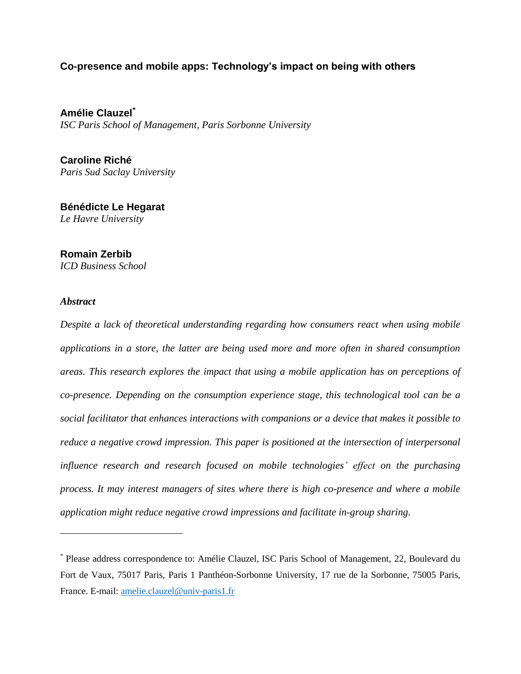# **Co-presence and mobile apps: Technology's impact on being with others**

**Amélie Clauzel\*** *ISC Paris School of Management, Paris Sorbonne University*

**Caroline Riché** *Paris Sud Saclay University*

**Bénédicte Le Hegarat** *Le Havre University*

**Romain Zerbib** *ICD Business School* 

# *Abstract*

 $\overline{a}$ 

*Despite a lack of theoretical understanding regarding how consumers react when using mobile applications in a store, the latter are being used more and more often in shared consumption areas. This research explores the impact that using a mobile application has on perceptions of co-presence. Depending on the consumption experience stage, this technological tool can be a social facilitator that enhances interactions with companions or a device that makes it possible to reduce a negative crowd impression. This paper is positioned at the intersection of interpersonal influence research and research focused on mobile technologies' effect on the purchasing process. It may interest managers of sites where there is high co-presence and where a mobile application might reduce negative crowd impressions and facilitate in-group sharing.* 

<sup>\*</sup> Please address correspondence to: Amélie Clauzel, ISC Paris School of Management, 22, Boulevard du Fort de Vaux, 75017 Paris, Paris 1 Panthéon-Sorbonne University, 17 rue de la Sorbonne, 75005 Paris, France. E-mail: amelie.clauzel@univ-paris1.fr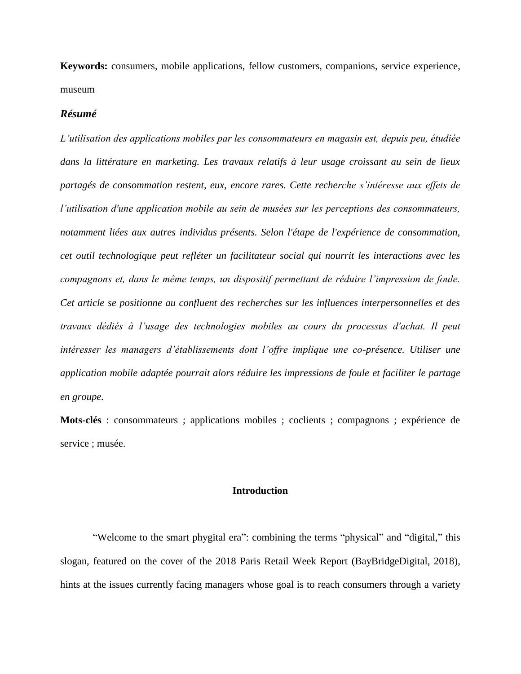**Keywords:** consumers, mobile applications, fellow customers, companions, service experience, museum

# *Résumé*

*L'utilisation des applications mobiles par les consommateurs en magasin est, depuis peu, étudiée dans la littérature en marketing. Les travaux relatifs à leur usage croissant au sein de lieux partagés de consommation restent, eux, encore rares. Cette recherche s'intéresse aux effets de l'utilisation d'une application mobile au sein de musées sur les perceptions des consommateurs, notamment liées aux autres individus présents. Selon l'étape de l'expérience de consommation, cet outil technologique peut refléter un facilitateur social qui nourrit les interactions avec les compagnons et, dans le même temps, un dispositif permettant de réduire l'impression de foule. Cet article se positionne au confluent des recherches sur les influences interpersonnelles et des travaux dédiés à l'usage des technologies mobiles au cours du processus d'achat. Il peut*  intéresser les managers d'établissements dont l'offre implique une co-présence. Utiliser une *application mobile adaptée pourrait alors réduire les impressions de foule et faciliter le partage en groupe.* 

**Mots-clés** : consommateurs ; applications mobiles ; coclients ; compagnons ; expérience de service ; musée.

# **Introduction**

"Welcome to the smart phygital era": combining the terms "physical" and "digital," this slogan, featured on the cover of the 2018 Paris Retail Week Report (BayBridgeDigital, 2018), hints at the issues currently facing managers whose goal is to reach consumers through a variety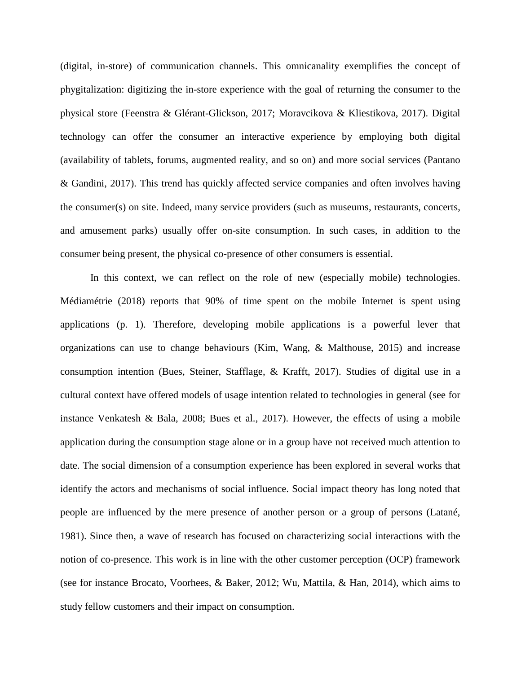(digital, in-store) of communication channels. This omnicanality exemplifies the concept of phygitalization: digitizing the in-store experience with the goal of returning the consumer to the physical store (Feenstra & Glérant-Glickson, 2017; Moravcikova & Kliestikova, 2017). Digital technology can offer the consumer an interactive experience by employing both digital (availability of tablets, forums, augmented reality, and so on) and more social services (Pantano & Gandini, 2017). This trend has quickly affected service companies and often involves having the consumer(s) on site. Indeed, many service providers (such as museums, restaurants, concerts, and amusement parks) usually offer on-site consumption. In such cases, in addition to the consumer being present, the physical co-presence of other consumers is essential.

In this context, we can reflect on the role of new (especially mobile) technologies. Médiamétrie (2018) reports that 90% of time spent on the mobile Internet is spent using applications (p. 1). Therefore, developing mobile applications is a powerful lever that organizations can use to change behaviours (Kim, Wang, & Malthouse, 2015) and increase consumption intention (Bues, Steiner, Stafflage, & Krafft, 2017). Studies of digital use in a cultural context have offered models of usage intention related to technologies in general (see for instance Venkatesh & Bala, 2008; Bues et al., 2017). However, the effects of using a mobile application during the consumption stage alone or in a group have not received much attention to date. The social dimension of a consumption experience has been explored in several works that identify the actors and mechanisms of social influence. Social impact theory has long noted that people are influenced by the mere presence of another person or a group of persons (Latané, 1981). Since then, a wave of research has focused on characterizing social interactions with the notion of co-presence. This work is in line with the other customer perception (OCP) framework (see for instance Brocato, Voorhees, & Baker, 2012; Wu, Mattila, & Han, 2014), which aims to study fellow customers and their impact on consumption.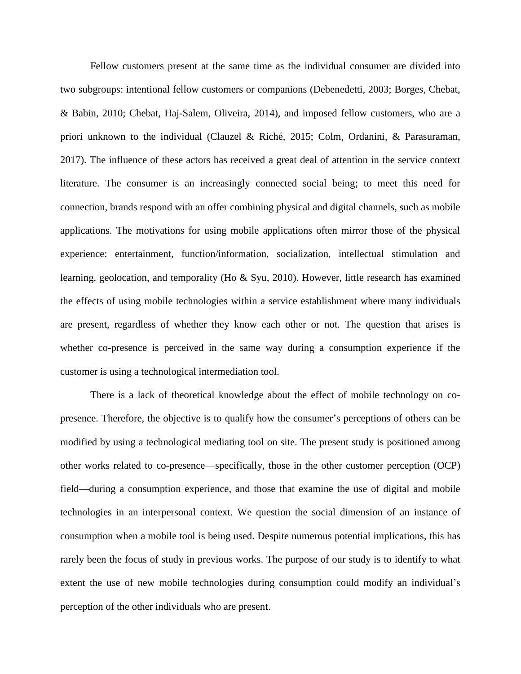Fellow customers present at the same time as the individual consumer are divided into two subgroups: intentional fellow customers or companions (Debenedetti, 2003; Borges, Chebat, & Babin, 2010; Chebat, Haj-Salem, Oliveira, 2014), and imposed fellow customers, who are a priori unknown to the individual (Clauzel & Riché, 2015; Colm, Ordanini, & Parasuraman, 2017). The influence of these actors has received a great deal of attention in the service context literature. The consumer is an increasingly connected social being; to meet this need for connection, brands respond with an offer combining physical and digital channels, such as mobile applications. The motivations for using mobile applications often mirror those of the physical experience: entertainment, function/information, socialization, intellectual stimulation and learning, geolocation, and temporality (Ho & Syu, 2010). However, little research has examined the effects of using mobile technologies within a service establishment where many individuals are present, regardless of whether they know each other or not. The question that arises is whether co-presence is perceived in the same way during a consumption experience if the customer is using a technological intermediation tool.

There is a lack of theoretical knowledge about the effect of mobile technology on copresence. Therefore, the objective is to qualify how the consumer's perceptions of others can be modified by using a technological mediating tool on site. The present study is positioned among other works related to co-presence—specifically, those in the other customer perception (OCP) field—during a consumption experience, and those that examine the use of digital and mobile technologies in an interpersonal context. We question the social dimension of an instance of consumption when a mobile tool is being used. Despite numerous potential implications, this has rarely been the focus of study in previous works. The purpose of our study is to identify to what extent the use of new mobile technologies during consumption could modify an individual's perception of the other individuals who are present.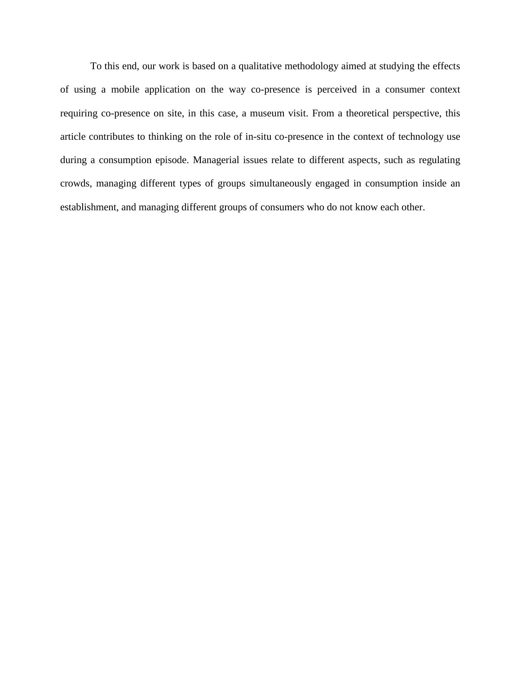To this end, our work is based on a qualitative methodology aimed at studying the effects of using a mobile application on the way co-presence is perceived in a consumer context requiring co-presence on site, in this case, a museum visit. From a theoretical perspective, this article contributes to thinking on the role of in-situ co-presence in the context of technology use during a consumption episode. Managerial issues relate to different aspects, such as regulating crowds, managing different types of groups simultaneously engaged in consumption inside an establishment, and managing different groups of consumers who do not know each other.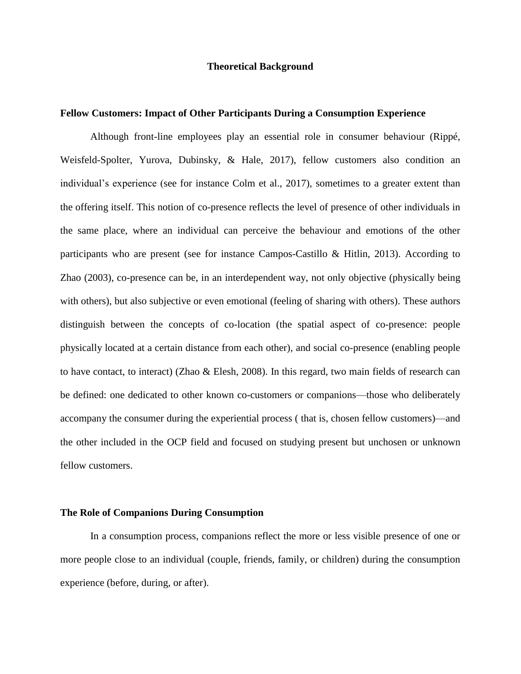#### **Theoretical Background**

# **Fellow Customers: Impact of Other Participants During a Consumption Experience**

Although front-line employees play an essential role in consumer behaviour (Rippé, Weisfeld-Spolter, Yurova, Dubinsky, & Hale, 2017), fellow customers also condition an individual's experience (see for instance Colm et al., 2017), sometimes to a greater extent than the offering itself. This notion of co-presence reflects the level of presence of other individuals in the same place, where an individual can perceive the behaviour and emotions of the other participants who are present (see for instance Campos-Castillo & Hitlin, 2013). According to Zhao (2003), co-presence can be, in an interdependent way, not only objective (physically being with others), but also subjective or even emotional (feeling of sharing with others). These authors distinguish between the concepts of co-location (the spatial aspect of co-presence: people physically located at a certain distance from each other), and social co-presence (enabling people to have contact, to interact) (Zhao & Elesh, 2008). In this regard, two main fields of research can be defined: one dedicated to other known co-customers or companions—those who deliberately accompany the consumer during the experiential process ( that is, chosen fellow customers)—and the other included in the OCP field and focused on studying present but unchosen or unknown fellow customers.

# **The Role of Companions During Consumption**

In a consumption process, companions reflect the more or less visible presence of one or more people close to an individual (couple, friends, family, or children) during the consumption experience (before, during, or after).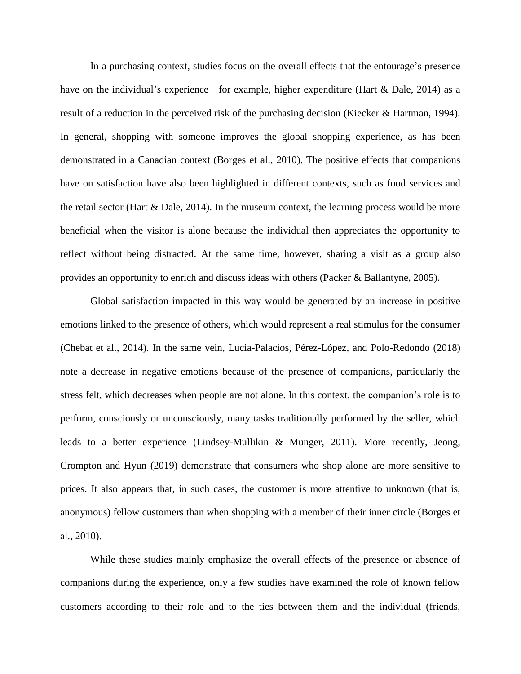In a purchasing context, studies focus on the overall effects that the entourage's presence have on the individual's experience—for example, higher expenditure (Hart & Dale, 2014) as a result of a reduction in the perceived risk of the purchasing decision (Kiecker & Hartman, 1994). In general, shopping with someone improves the global shopping experience, as has been demonstrated in a Canadian context (Borges et al., 2010). The positive effects that companions have on satisfaction have also been highlighted in different contexts, such as food services and the retail sector (Hart  $\&$  Dale, 2014). In the museum context, the learning process would be more beneficial when the visitor is alone because the individual then appreciates the opportunity to reflect without being distracted. At the same time, however, sharing a visit as a group also provides an opportunity to enrich and discuss ideas with others (Packer & Ballantyne, 2005).

Global satisfaction impacted in this way would be generated by an increase in positive emotions linked to the presence of others, which would represent a real stimulus for the consumer (Chebat et al., 2014). In the same vein, Lucia-Palacios, Pérez-López, and Polo-Redondo (2018) note a decrease in negative emotions because of the presence of companions, particularly the stress felt, which decreases when people are not alone. In this context, the companion's role is to perform, consciously or unconsciously, many tasks traditionally performed by the seller, which leads to a better experience (Lindsey-Mullikin & Munger, 2011). More recently, Jeong, Crompton and Hyun (2019) demonstrate that consumers who shop alone are more sensitive to prices. It also appears that, in such cases, the customer is more attentive to unknown (that is, anonymous) fellow customers than when shopping with a member of their inner circle (Borges et al., 2010).

While these studies mainly emphasize the overall effects of the presence or absence of companions during the experience, only a few studies have examined the role of known fellow customers according to their role and to the ties between them and the individual (friends,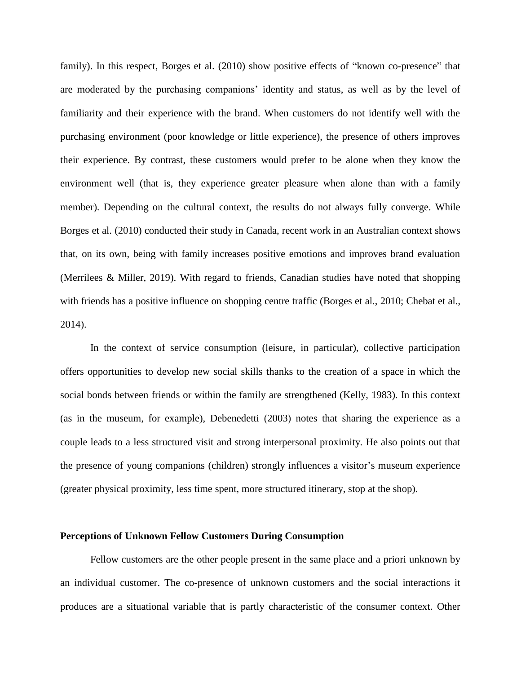family). In this respect, Borges et al. (2010) show positive effects of "known co-presence" that are moderated by the purchasing companions' identity and status, as well as by the level of familiarity and their experience with the brand. When customers do not identify well with the purchasing environment (poor knowledge or little experience), the presence of others improves their experience. By contrast, these customers would prefer to be alone when they know the environment well (that is, they experience greater pleasure when alone than with a family member). Depending on the cultural context, the results do not always fully converge. While Borges et al. (2010) conducted their study in Canada, recent work in an Australian context shows that, on its own, being with family increases positive emotions and improves brand evaluation (Merrilees & Miller, 2019). With regard to friends, Canadian studies have noted that shopping with friends has a positive influence on shopping centre traffic (Borges et al., 2010; Chebat et al., 2014).

In the context of service consumption (leisure, in particular), collective participation offers opportunities to develop new social skills thanks to the creation of a space in which the social bonds between friends or within the family are strengthened (Kelly, 1983). In this context (as in the museum, for example), Debenedetti (2003) notes that sharing the experience as a couple leads to a less structured visit and strong interpersonal proximity. He also points out that the presence of young companions (children) strongly influences a visitor's museum experience (greater physical proximity, less time spent, more structured itinerary, stop at the shop).

# **Perceptions of Unknown Fellow Customers During Consumption**

Fellow customers are the other people present in the same place and a priori unknown by an individual customer. The co-presence of unknown customers and the social interactions it produces are a situational variable that is partly characteristic of the consumer context. Other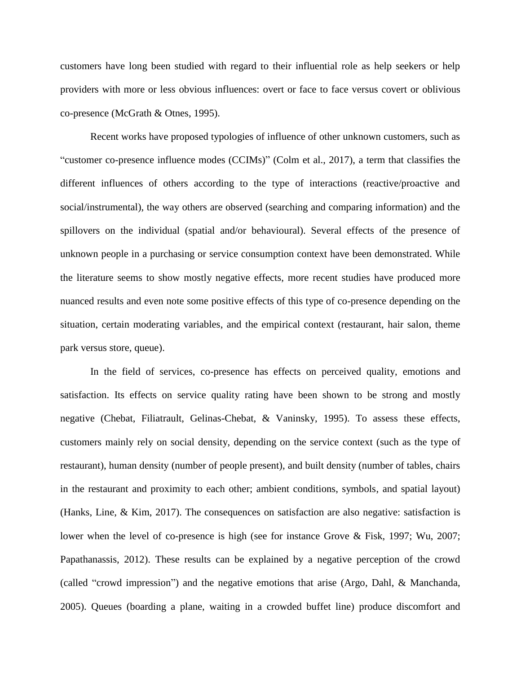customers have long been studied with regard to their influential role as help seekers or help providers with more or less obvious influences: overt or face to face versus covert or oblivious co-presence (McGrath & Otnes, 1995).

Recent works have proposed typologies of influence of other unknown customers, such as "customer co-presence influence modes (CCIMs)" (Colm et al., 2017), a term that classifies the different influences of others according to the type of interactions (reactive/proactive and social/instrumental), the way others are observed (searching and comparing information) and the spillovers on the individual (spatial and/or behavioural). Several effects of the presence of unknown people in a purchasing or service consumption context have been demonstrated. While the literature seems to show mostly negative effects, more recent studies have produced more nuanced results and even note some positive effects of this type of co-presence depending on the situation, certain moderating variables, and the empirical context (restaurant, hair salon, theme park versus store, queue).

In the field of services, co-presence has effects on perceived quality, emotions and satisfaction. Its effects on service quality rating have been shown to be strong and mostly negative (Chebat, Filiatrault, Gelinas-Chebat, & Vaninsky, 1995). To assess these effects, customers mainly rely on social density, depending on the service context (such as the type of restaurant), human density (number of people present), and built density (number of tables, chairs in the restaurant and proximity to each other; ambient conditions, symbols, and spatial layout) (Hanks, Line, & Kim, 2017). The consequences on satisfaction are also negative: satisfaction is lower when the level of co-presence is high (see for instance Grove & Fisk, 1997; Wu, 2007; Papathanassis, 2012). These results can be explained by a negative perception of the crowd (called "crowd impression") and the negative emotions that arise (Argo, Dahl, & Manchanda, 2005). Queues (boarding a plane, waiting in a crowded buffet line) produce discomfort and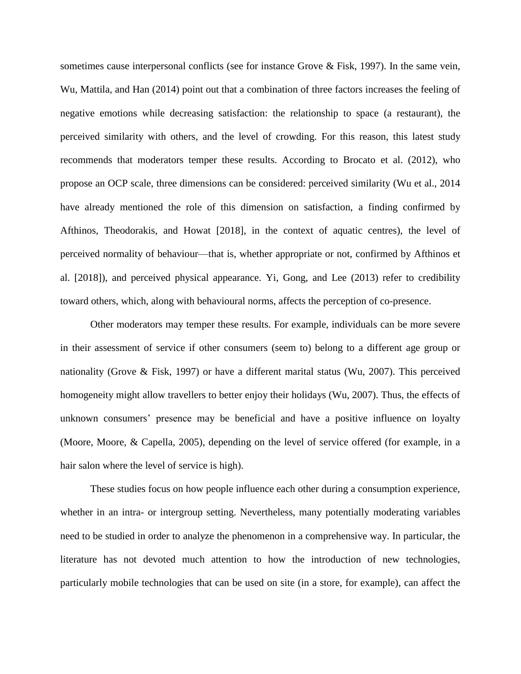sometimes cause interpersonal conflicts (see for instance Grove & Fisk, 1997). In the same vein, Wu, Mattila, and Han (2014) point out that a combination of three factors increases the feeling of negative emotions while decreasing satisfaction: the relationship to space (a restaurant), the perceived similarity with others, and the level of crowding. For this reason, this latest study recommends that moderators temper these results. According to Brocato et al. (2012), who propose an OCP scale, three dimensions can be considered: perceived similarity (Wu et al., 2014 have already mentioned the role of this dimension on satisfaction, a finding confirmed by Afthinos, Theodorakis, and Howat [2018], in the context of aquatic centres), the level of perceived normality of behaviour—that is, whether appropriate or not, confirmed by Afthinos et al. [2018]), and perceived physical appearance. Yi, Gong, and Lee (2013) refer to credibility toward others, which, along with behavioural norms, affects the perception of co-presence.

Other moderators may temper these results. For example, individuals can be more severe in their assessment of service if other consumers (seem to) belong to a different age group or nationality (Grove & Fisk, 1997) or have a different marital status (Wu, 2007). This perceived homogeneity might allow travellers to better enjoy their holidays (Wu, 2007). Thus, the effects of unknown consumers' presence may be beneficial and have a positive influence on loyalty (Moore, Moore, & Capella, 2005), depending on the level of service offered (for example, in a hair salon where the level of service is high).

These studies focus on how people influence each other during a consumption experience, whether in an intra- or intergroup setting. Nevertheless, many potentially moderating variables need to be studied in order to analyze the phenomenon in a comprehensive way. In particular, the literature has not devoted much attention to how the introduction of new technologies, particularly mobile technologies that can be used on site (in a store, for example), can affect the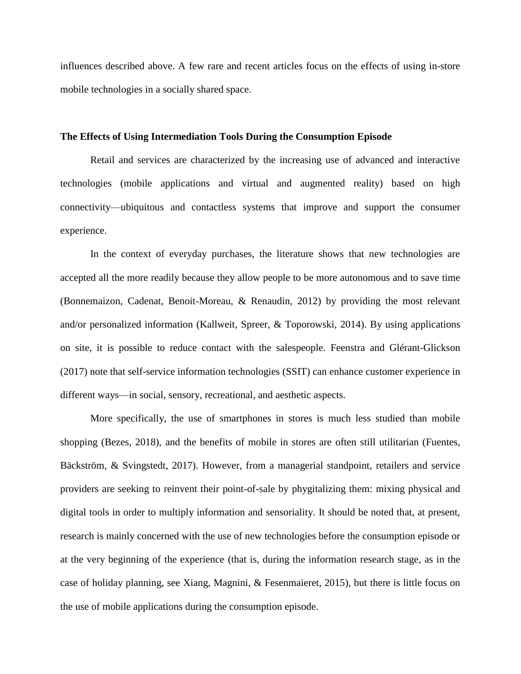influences described above. A few rare and recent articles focus on the effects of using in-store mobile technologies in a socially shared space.

#### **The Effects of Using Intermediation Tools During the Consumption Episode**

Retail and services are characterized by the increasing use of advanced and interactive technologies (mobile applications and virtual and augmented reality) based on high connectivity—ubiquitous and contactless systems that improve and support the consumer experience.

In the context of everyday purchases, the literature shows that new technologies are accepted all the more readily because they allow people to be more autonomous and to save time (Bonnemaizon, Cadenat, Benoit-Moreau, & Renaudin, 2012) by providing the most relevant and/or personalized information (Kallweit, Spreer, & Toporowski, 2014). By using applications on site, it is possible to reduce contact with the salespeople. Feenstra and Glérant-Glickson (2017) note that self-service information technologies (SSIT) can enhance customer experience in different ways—in social, sensory, recreational, and aesthetic aspects.

More specifically, the use of smartphones in stores is much less studied than mobile shopping (Bezes, 2018), and the benefits of mobile in stores are often still utilitarian (Fuentes, Bäckström, & Svingstedt, 2017). However, from a managerial standpoint, retailers and service providers are seeking to reinvent their point-of-sale by phygitalizing them: mixing physical and digital tools in order to multiply information and sensoriality. It should be noted that, at present, research is mainly concerned with the use of new technologies before the consumption episode or at the very beginning of the experience (that is, during the information research stage, as in the case of holiday planning, see Xiang, Magnini, & Fesenmaieret, 2015), but there is little focus on the use of mobile applications during the consumption episode.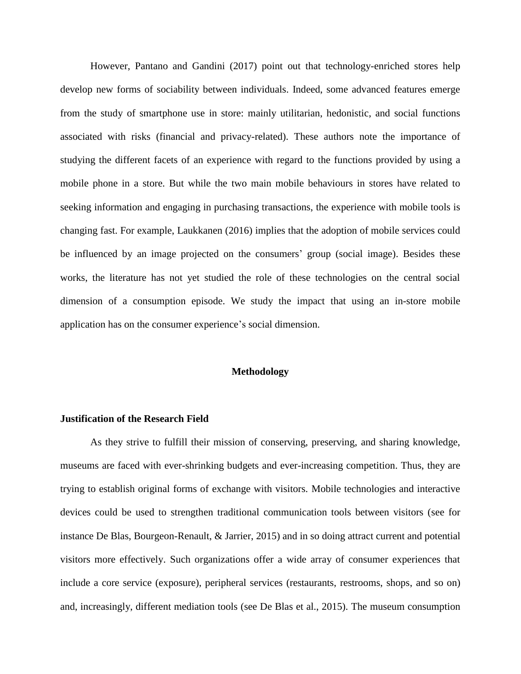However, Pantano and Gandini (2017) point out that technology-enriched stores help develop new forms of sociability between individuals. Indeed, some advanced features emerge from the study of smartphone use in store: mainly utilitarian, hedonistic, and social functions associated with risks (financial and privacy-related). These authors note the importance of studying the different facets of an experience with regard to the functions provided by using a mobile phone in a store. But while the two main mobile behaviours in stores have related to seeking information and engaging in purchasing transactions, the experience with mobile tools is changing fast. For example, Laukkanen (2016) implies that the adoption of mobile services could be influenced by an image projected on the consumers' group (social image). Besides these works, the literature has not yet studied the role of these technologies on the central social dimension of a consumption episode. We study the impact that using an in-store mobile application has on the consumer experience's social dimension.

# **Methodology**

# **Justification of the Research Field**

As they strive to fulfill their mission of conserving, preserving, and sharing knowledge, museums are faced with ever-shrinking budgets and ever-increasing competition. Thus, they are trying to establish original forms of exchange with visitors. Mobile technologies and interactive devices could be used to strengthen traditional communication tools between visitors (see for instance De Blas, Bourgeon-Renault, & Jarrier, 2015) and in so doing attract current and potential visitors more effectively. Such organizations offer a wide array of consumer experiences that include a core service (exposure), peripheral services (restaurants, restrooms, shops, and so on) and, increasingly, different mediation tools (see De Blas et al., 2015). The museum consumption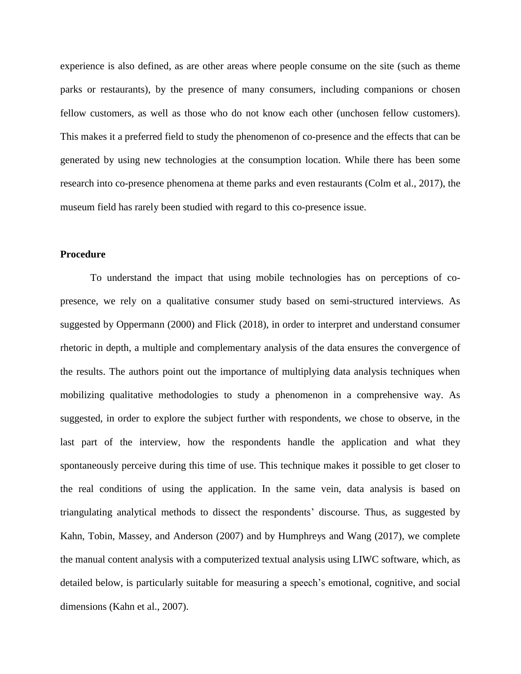experience is also defined, as are other areas where people consume on the site (such as theme parks or restaurants), by the presence of many consumers, including companions or chosen fellow customers, as well as those who do not know each other (unchosen fellow customers). This makes it a preferred field to study the phenomenon of co-presence and the effects that can be generated by using new technologies at the consumption location. While there has been some research into co-presence phenomena at theme parks and even restaurants (Colm et al., 2017), the museum field has rarely been studied with regard to this co-presence issue.

# **Procedure**

To understand the impact that using mobile technologies has on perceptions of copresence, we rely on a qualitative consumer study based on semi-structured interviews. As suggested by Oppermann (2000) and Flick (2018), in order to interpret and understand consumer rhetoric in depth, a multiple and complementary analysis of the data ensures the convergence of the results. The authors point out the importance of multiplying data analysis techniques when mobilizing qualitative methodologies to study a phenomenon in a comprehensive way. As suggested, in order to explore the subject further with respondents, we chose to observe, in the last part of the interview, how the respondents handle the application and what they spontaneously perceive during this time of use. This technique makes it possible to get closer to the real conditions of using the application. In the same vein, data analysis is based on triangulating analytical methods to dissect the respondents' discourse. Thus, as suggested by Kahn, Tobin, Massey, and Anderson (2007) and by Humphreys and Wang (2017), we complete the manual content analysis with a computerized textual analysis using LIWC software, which, as detailed below, is particularly suitable for measuring a speech's emotional, cognitive, and social dimensions (Kahn et al., 2007).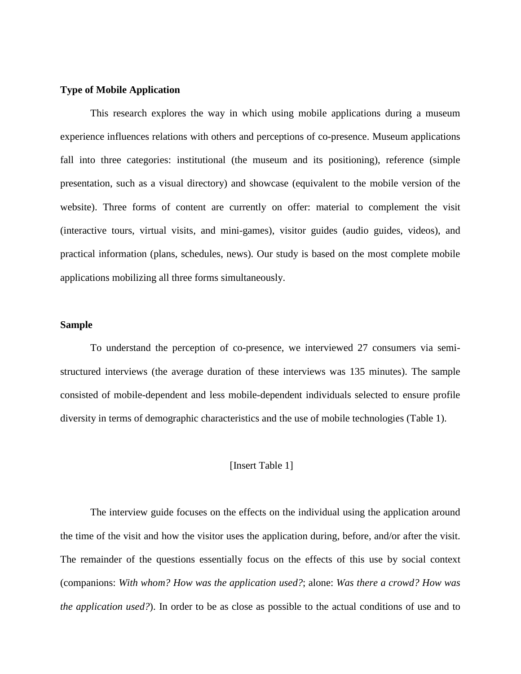#### **Type of Mobile Application**

This research explores the way in which using mobile applications during a museum experience influences relations with others and perceptions of co-presence. Museum applications fall into three categories: institutional (the museum and its positioning), reference (simple presentation, such as a visual directory) and showcase (equivalent to the mobile version of the website). Three forms of content are currently on offer: material to complement the visit (interactive tours, virtual visits, and mini-games), visitor guides (audio guides, videos), and practical information (plans, schedules, news). Our study is based on the most complete mobile applications mobilizing all three forms simultaneously.

# **Sample**

To understand the perception of co-presence, we interviewed 27 consumers via semistructured interviews (the average duration of these interviews was 135 minutes). The sample consisted of mobile-dependent and less mobile-dependent individuals selected to ensure profile diversity in terms of demographic characteristics and the use of mobile technologies (Table 1).

# [Insert Table 1]

The interview guide focuses on the effects on the individual using the application around the time of the visit and how the visitor uses the application during, before, and/or after the visit. The remainder of the questions essentially focus on the effects of this use by social context (companions: *With whom? How was the application used?*; alone: *Was there a crowd? How was the application used?*). In order to be as close as possible to the actual conditions of use and to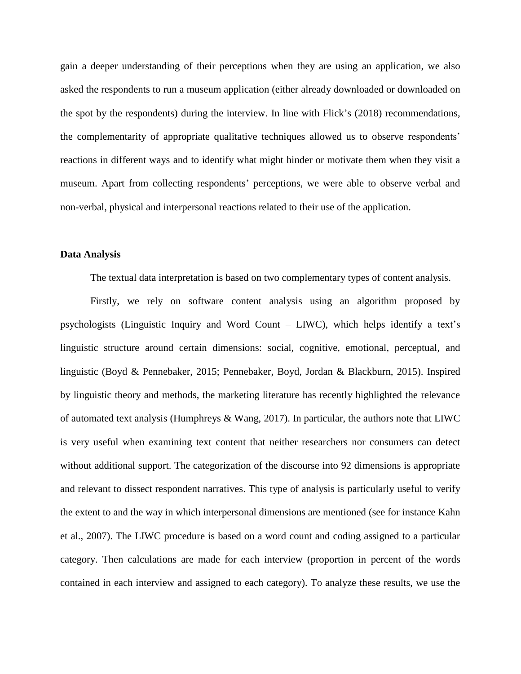gain a deeper understanding of their perceptions when they are using an application, we also asked the respondents to run a museum application (either already downloaded or downloaded on the spot by the respondents) during the interview. In line with Flick's (2018) recommendations, the complementarity of appropriate qualitative techniques allowed us to observe respondents' reactions in different ways and to identify what might hinder or motivate them when they visit a museum. Apart from collecting respondents' perceptions, we were able to observe verbal and non-verbal, physical and interpersonal reactions related to their use of the application.

# **Data Analysis**

The textual data interpretation is based on two complementary types of content analysis.

Firstly, we rely on software content analysis using an algorithm proposed by psychologists (Linguistic Inquiry and Word Count – LIWC), which helps identify a text's linguistic structure around certain dimensions: social, cognitive, emotional, perceptual, and linguistic (Boyd & Pennebaker, 2015; Pennebaker, Boyd, Jordan & Blackburn, 2015). Inspired by linguistic theory and methods, the marketing literature has recently highlighted the relevance of automated text analysis (Humphreys & Wang, 2017). In particular, the authors note that LIWC is very useful when examining text content that neither researchers nor consumers can detect without additional support. The categorization of the discourse into 92 dimensions is appropriate and relevant to dissect respondent narratives. This type of analysis is particularly useful to verify the extent to and the way in which interpersonal dimensions are mentioned (see for instance Kahn et al., 2007). The LIWC procedure is based on a word count and coding assigned to a particular category. Then calculations are made for each interview (proportion in percent of the words contained in each interview and assigned to each category). To analyze these results, we use the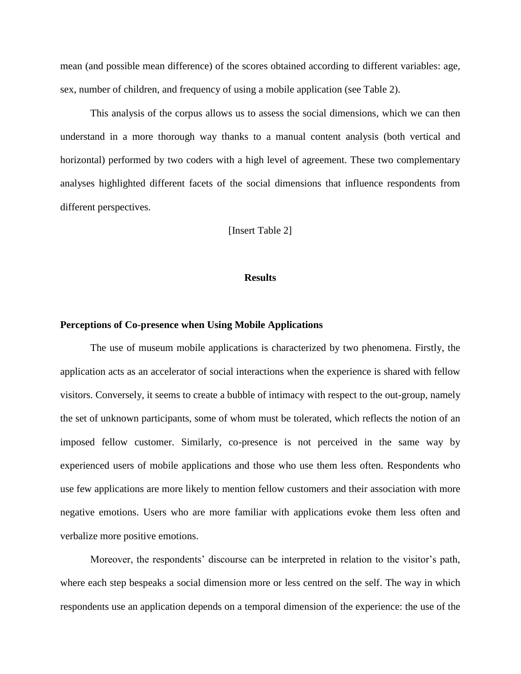mean (and possible mean difference) of the scores obtained according to different variables: age, sex, number of children, and frequency of using a mobile application (see Table 2).

This analysis of the corpus allows us to assess the social dimensions, which we can then understand in a more thorough way thanks to a manual content analysis (both vertical and horizontal) performed by two coders with a high level of agreement. These two complementary analyses highlighted different facets of the social dimensions that influence respondents from different perspectives.

[Insert Table 2]

# **Results**

#### **Perceptions of Co-presence when Using Mobile Applications**

The use of museum mobile applications is characterized by two phenomena. Firstly, the application acts as an accelerator of social interactions when the experience is shared with fellow visitors. Conversely, it seems to create a bubble of intimacy with respect to the out-group, namely the set of unknown participants, some of whom must be tolerated, which reflects the notion of an imposed fellow customer. Similarly, co-presence is not perceived in the same way by experienced users of mobile applications and those who use them less often. Respondents who use few applications are more likely to mention fellow customers and their association with more negative emotions. Users who are more familiar with applications evoke them less often and verbalize more positive emotions.

Moreover, the respondents' discourse can be interpreted in relation to the visitor's path, where each step bespeaks a social dimension more or less centred on the self. The way in which respondents use an application depends on a temporal dimension of the experience: the use of the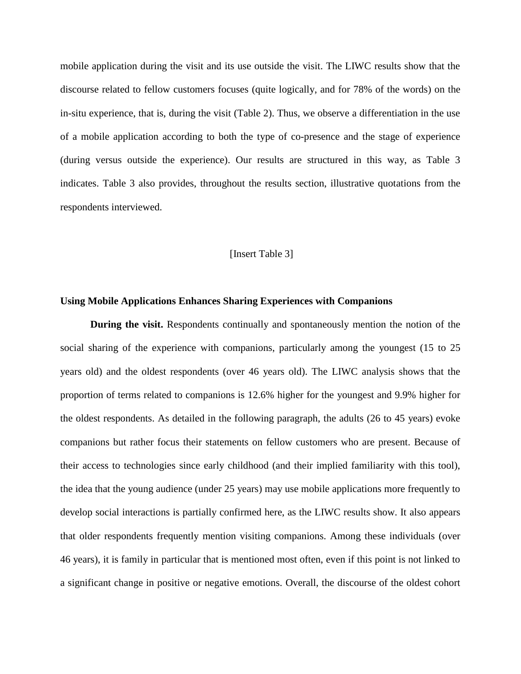mobile application during the visit and its use outside the visit. The LIWC results show that the discourse related to fellow customers focuses (quite logically, and for 78% of the words) on the in-situ experience, that is, during the visit (Table 2). Thus, we observe a differentiation in the use of a mobile application according to both the type of co-presence and the stage of experience (during versus outside the experience). Our results are structured in this way, as Table 3 indicates. Table 3 also provides, throughout the results section, illustrative quotations from the respondents interviewed.

#### [Insert Table 3]

#### **Using Mobile Applications Enhances Sharing Experiences with Companions**

**During the visit.** Respondents continually and spontaneously mention the notion of the social sharing of the experience with companions, particularly among the youngest (15 to 25 years old) and the oldest respondents (over 46 years old). The LIWC analysis shows that the proportion of terms related to companions is 12.6% higher for the youngest and 9.9% higher for the oldest respondents. As detailed in the following paragraph, the adults (26 to 45 years) evoke companions but rather focus their statements on fellow customers who are present. Because of their access to technologies since early childhood (and their implied familiarity with this tool), the idea that the young audience (under 25 years) may use mobile applications more frequently to develop social interactions is partially confirmed here, as the LIWC results show. It also appears that older respondents frequently mention visiting companions. Among these individuals (over 46 years), it is family in particular that is mentioned most often, even if this point is not linked to a significant change in positive or negative emotions. Overall, the discourse of the oldest cohort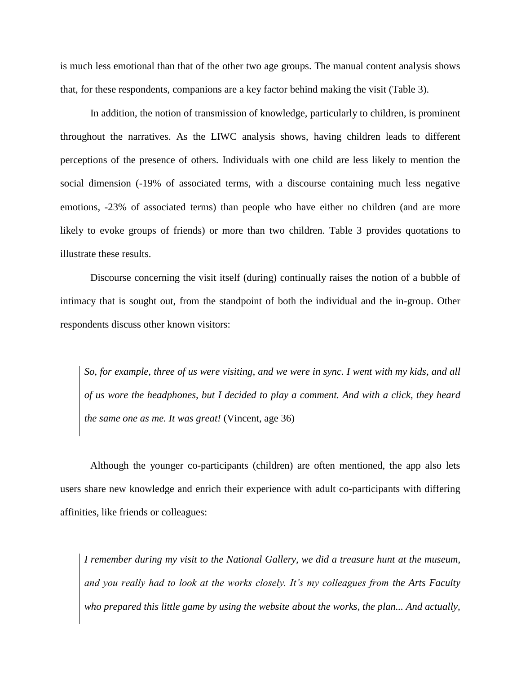is much less emotional than that of the other two age groups. The manual content analysis shows that, for these respondents, companions are a key factor behind making the visit (Table 3).

In addition, the notion of transmission of knowledge, particularly to children, is prominent throughout the narratives. As the LIWC analysis shows, having children leads to different perceptions of the presence of others. Individuals with one child are less likely to mention the social dimension (-19% of associated terms, with a discourse containing much less negative emotions, -23% of associated terms) than people who have either no children (and are more likely to evoke groups of friends) or more than two children. Table 3 provides quotations to illustrate these results.

Discourse concerning the visit itself (during) continually raises the notion of a bubble of intimacy that is sought out, from the standpoint of both the individual and the in-group. Other respondents discuss other known visitors:

*So, for example, three of us were visiting, and we were in sync. I went with my kids, and all of us wore the headphones, but I decided to play a comment. And with a click, they heard the same one as me. It was great!* (Vincent, age 36)

Although the younger co-participants (children) are often mentioned, the app also lets users share new knowledge and enrich their experience with adult co-participants with differing affinities, like friends or colleagues:

*I remember during my visit to the National Gallery, we did a treasure hunt at the museum, and you really had to look at the works closely. It's my colleagues from the Arts Faculty who prepared this little game by using the website about the works, the plan... And actually,*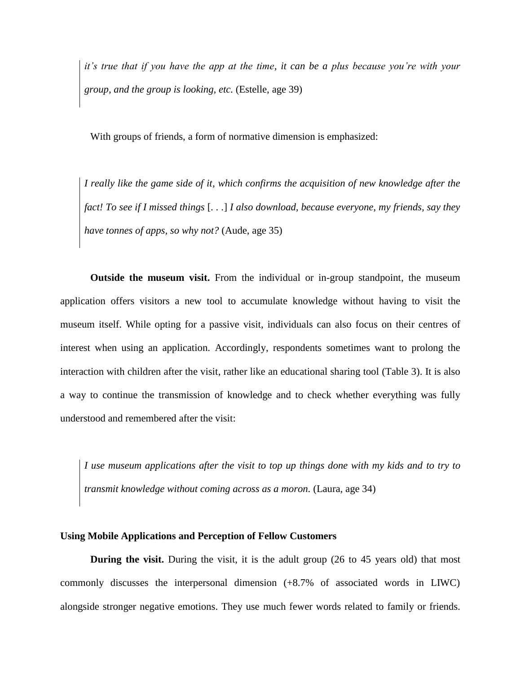*it's true that if you have the app at the time, it can be a plus because you're with your group, and the group is looking, etc.* (Estelle, age 39)

With groups of friends, a form of normative dimension is emphasized:

*I really like the game side of it, which confirms the acquisition of new knowledge after the fact! To see if I missed things* [*. . .*] *I also download, because everyone, my friends, say they have tonnes of apps, so why not?* (Aude, age 35)

**Outside the museum visit.** From the individual or in-group standpoint, the museum application offers visitors a new tool to accumulate knowledge without having to visit the museum itself. While opting for a passive visit, individuals can also focus on their centres of interest when using an application. Accordingly, respondents sometimes want to prolong the interaction with children after the visit, rather like an educational sharing tool (Table 3). It is also a way to continue the transmission of knowledge and to check whether everything was fully understood and remembered after the visit:

*I use museum applications after the visit to top up things done with my kids and to try to transmit knowledge without coming across as a moron.* (Laura, age 34)

# **Using Mobile Applications and Perception of Fellow Customers**

**During the visit.** During the visit, it is the adult group (26 to 45 years old) that most commonly discusses the interpersonal dimension (+8.7% of associated words in LIWC) alongside stronger negative emotions. They use much fewer words related to family or friends.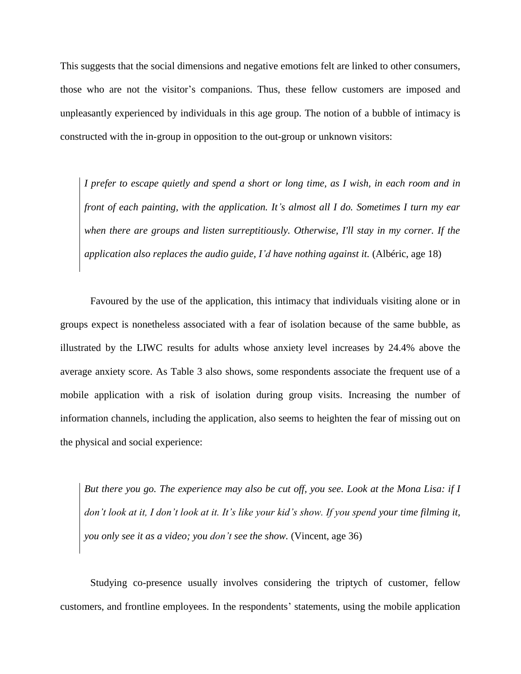This suggests that the social dimensions and negative emotions felt are linked to other consumers, those who are not the visitor's companions. Thus, these fellow customers are imposed and unpleasantly experienced by individuals in this age group. The notion of a bubble of intimacy is constructed with the in-group in opposition to the out-group or unknown visitors:

*I prefer to escape quietly and spend a short or long time, as I wish, in each room and in front of each painting, with the application. It's almost all I do. Sometimes I turn my ear when there are groups and listen surreptitiously. Otherwise, I'll stay in my corner. If the application also replaces the audio guide, I'd have nothing against it.* (Albéric, age 18)

Favoured by the use of the application, this intimacy that individuals visiting alone or in groups expect is nonetheless associated with a fear of isolation because of the same bubble, as illustrated by the LIWC results for adults whose anxiety level increases by 24.4% above the average anxiety score. As Table 3 also shows, some respondents associate the frequent use of a mobile application with a risk of isolation during group visits. Increasing the number of information channels, including the application, also seems to heighten the fear of missing out on the physical and social experience:

*But there you go. The experience may also be cut off, you see. Look at the Mona Lisa: if I don't look at it, I don't look at it. It's like your kid's show. If you spend your time filming it, you only see it as a video; you don't see the show.* (Vincent, age 36)

Studying co-presence usually involves considering the triptych of customer, fellow customers, and frontline employees. In the respondents' statements, using the mobile application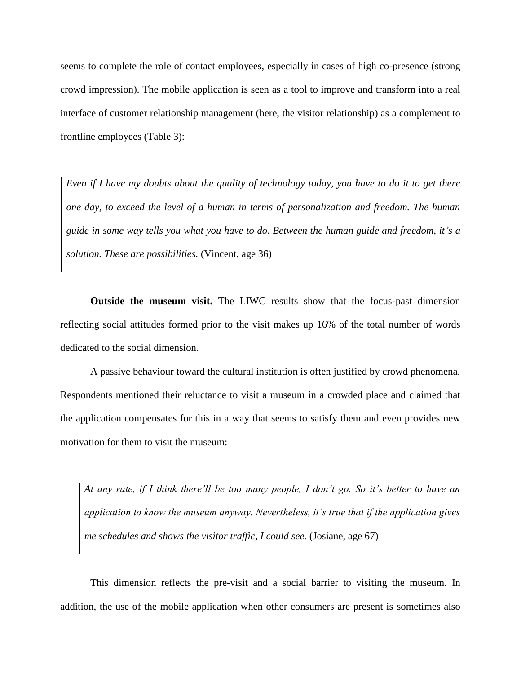seems to complete the role of contact employees, especially in cases of high co-presence (strong crowd impression). The mobile application is seen as a tool to improve and transform into a real interface of customer relationship management (here, the visitor relationship) as a complement to frontline employees (Table 3):

*Even if I have my doubts about the quality of technology today, you have to do it to get there one day, to exceed the level of a human in terms of personalization and freedom. The human guide in some way tells you what you have to do. Between the human guide and freedom, it's a solution. These are possibilities.* (Vincent, age 36)

**Outside the museum visit.** The LIWC results show that the focus-past dimension reflecting social attitudes formed prior to the visit makes up 16% of the total number of words dedicated to the social dimension.

A passive behaviour toward the cultural institution is often justified by crowd phenomena. Respondents mentioned their reluctance to visit a museum in a crowded place and claimed that the application compensates for this in a way that seems to satisfy them and even provides new motivation for them to visit the museum:

*At any rate, if I think there'll be too many people, I don't go. So it's better to have an application to know the museum anyway. Nevertheless, it's true that if the application gives me schedules and shows the visitor traffic, I could see.* (Josiane, age 67)

This dimension reflects the pre-visit and a social barrier to visiting the museum. In addition, the use of the mobile application when other consumers are present is sometimes also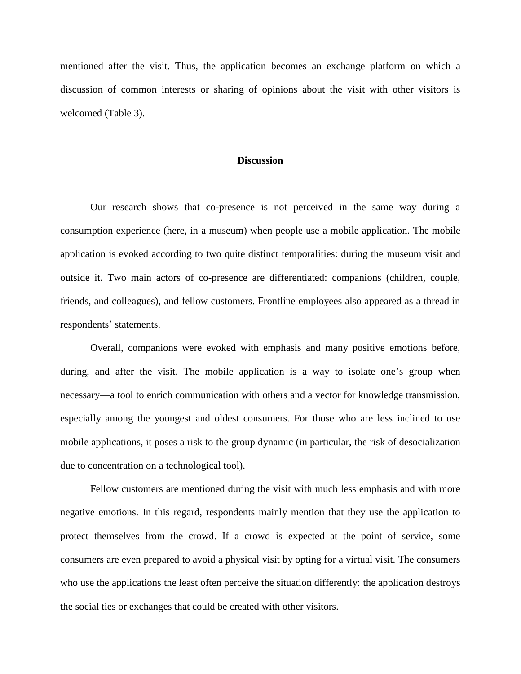mentioned after the visit. Thus, the application becomes an exchange platform on which a discussion of common interests or sharing of opinions about the visit with other visitors is welcomed (Table 3).

#### **Discussion**

Our research shows that co-presence is not perceived in the same way during a consumption experience (here, in a museum) when people use a mobile application. The mobile application is evoked according to two quite distinct temporalities: during the museum visit and outside it. Two main actors of co-presence are differentiated: companions (children, couple, friends, and colleagues), and fellow customers. Frontline employees also appeared as a thread in respondents' statements.

Overall, companions were evoked with emphasis and many positive emotions before, during, and after the visit. The mobile application is a way to isolate one's group when necessary—a tool to enrich communication with others and a vector for knowledge transmission, especially among the youngest and oldest consumers. For those who are less inclined to use mobile applications, it poses a risk to the group dynamic (in particular, the risk of desocialization due to concentration on a technological tool).

Fellow customers are mentioned during the visit with much less emphasis and with more negative emotions. In this regard, respondents mainly mention that they use the application to protect themselves from the crowd. If a crowd is expected at the point of service, some consumers are even prepared to avoid a physical visit by opting for a virtual visit. The consumers who use the applications the least often perceive the situation differently: the application destroys the social ties or exchanges that could be created with other visitors.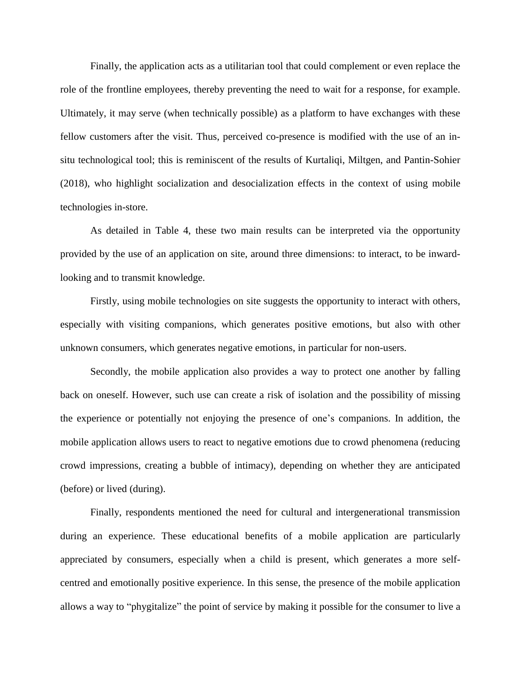Finally, the application acts as a utilitarian tool that could complement or even replace the role of the frontline employees, thereby preventing the need to wait for a response, for example. Ultimately, it may serve (when technically possible) as a platform to have exchanges with these fellow customers after the visit. Thus, perceived co-presence is modified with the use of an insitu technological tool; this is reminiscent of the results of Kurtaliqi, Miltgen, and Pantin-Sohier (2018), who highlight socialization and desocialization effects in the context of using mobile technologies in-store.

As detailed in Table 4, these two main results can be interpreted via the opportunity provided by the use of an application on site, around three dimensions: to interact, to be inwardlooking and to transmit knowledge.

Firstly, using mobile technologies on site suggests the opportunity to interact with others, especially with visiting companions, which generates positive emotions, but also with other unknown consumers, which generates negative emotions, in particular for non-users.

Secondly, the mobile application also provides a way to protect one another by falling back on oneself. However, such use can create a risk of isolation and the possibility of missing the experience or potentially not enjoying the presence of one's companions. In addition, the mobile application allows users to react to negative emotions due to crowd phenomena (reducing crowd impressions, creating a bubble of intimacy), depending on whether they are anticipated (before) or lived (during).

Finally, respondents mentioned the need for cultural and intergenerational transmission during an experience. These educational benefits of a mobile application are particularly appreciated by consumers, especially when a child is present, which generates a more selfcentred and emotionally positive experience. In this sense, the presence of the mobile application allows a way to "phygitalize" the point of service by making it possible for the consumer to live a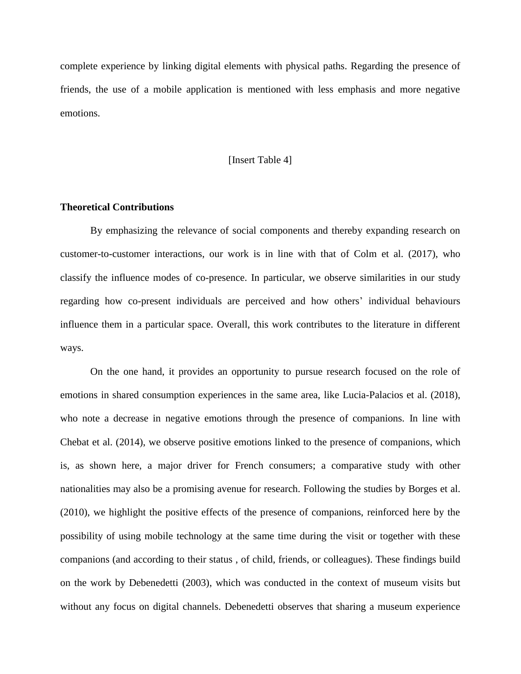complete experience by linking digital elements with physical paths. Regarding the presence of friends, the use of a mobile application is mentioned with less emphasis and more negative emotions.

#### [Insert Table 4]

# **Theoretical Contributions**

By emphasizing the relevance of social components and thereby expanding research on customer-to-customer interactions, our work is in line with that of Colm et al. (2017), who classify the influence modes of co-presence. In particular, we observe similarities in our study regarding how co-present individuals are perceived and how others' individual behaviours influence them in a particular space. Overall, this work contributes to the literature in different ways.

On the one hand, it provides an opportunity to pursue research focused on the role of emotions in shared consumption experiences in the same area, like Lucia-Palacios et al. (2018), who note a decrease in negative emotions through the presence of companions. In line with Chebat et al. (2014), we observe positive emotions linked to the presence of companions, which is, as shown here, a major driver for French consumers; a comparative study with other nationalities may also be a promising avenue for research. Following the studies by Borges et al. (2010), we highlight the positive effects of the presence of companions, reinforced here by the possibility of using mobile technology at the same time during the visit or together with these companions (and according to their status , of child, friends, or colleagues). These findings build on the work by Debenedetti (2003), which was conducted in the context of museum visits but without any focus on digital channels. Debenedetti observes that sharing a museum experience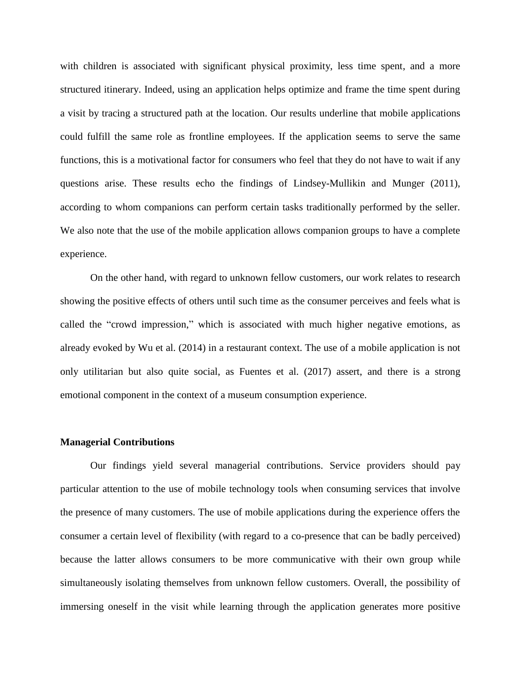with children is associated with significant physical proximity, less time spent, and a more structured itinerary. Indeed, using an application helps optimize and frame the time spent during a visit by tracing a structured path at the location. Our results underline that mobile applications could fulfill the same role as frontline employees. If the application seems to serve the same functions, this is a motivational factor for consumers who feel that they do not have to wait if any questions arise. These results echo the findings of Lindsey-Mullikin and Munger (2011), according to whom companions can perform certain tasks traditionally performed by the seller. We also note that the use of the mobile application allows companion groups to have a complete experience.

On the other hand, with regard to unknown fellow customers, our work relates to research showing the positive effects of others until such time as the consumer perceives and feels what is called the "crowd impression," which is associated with much higher negative emotions, as already evoked by Wu et al. (2014) in a restaurant context. The use of a mobile application is not only utilitarian but also quite social, as Fuentes et al. (2017) assert, and there is a strong emotional component in the context of a museum consumption experience.

# **Managerial Contributions**

Our findings yield several managerial contributions. Service providers should pay particular attention to the use of mobile technology tools when consuming services that involve the presence of many customers. The use of mobile applications during the experience offers the consumer a certain level of flexibility (with regard to a co-presence that can be badly perceived) because the latter allows consumers to be more communicative with their own group while simultaneously isolating themselves from unknown fellow customers. Overall, the possibility of immersing oneself in the visit while learning through the application generates more positive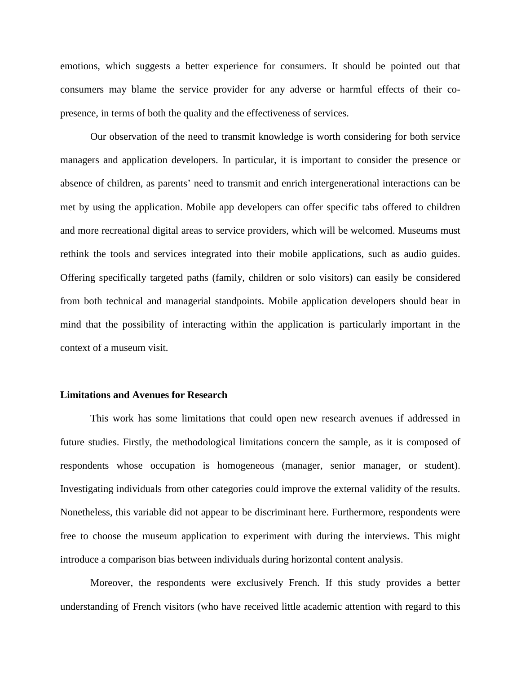emotions, which suggests a better experience for consumers. It should be pointed out that consumers may blame the service provider for any adverse or harmful effects of their copresence, in terms of both the quality and the effectiveness of services.

Our observation of the need to transmit knowledge is worth considering for both service managers and application developers. In particular, it is important to consider the presence or absence of children, as parents' need to transmit and enrich intergenerational interactions can be met by using the application. Mobile app developers can offer specific tabs offered to children and more recreational digital areas to service providers, which will be welcomed. Museums must rethink the tools and services integrated into their mobile applications, such as audio guides. Offering specifically targeted paths (family, children or solo visitors) can easily be considered from both technical and managerial standpoints. Mobile application developers should bear in mind that the possibility of interacting within the application is particularly important in the context of a museum visit.

#### **Limitations and Avenues for Research**

This work has some limitations that could open new research avenues if addressed in future studies. Firstly, the methodological limitations concern the sample, as it is composed of respondents whose occupation is homogeneous (manager, senior manager, or student). Investigating individuals from other categories could improve the external validity of the results. Nonetheless, this variable did not appear to be discriminant here. Furthermore, respondents were free to choose the museum application to experiment with during the interviews. This might introduce a comparison bias between individuals during horizontal content analysis.

Moreover, the respondents were exclusively French. If this study provides a better understanding of French visitors (who have received little academic attention with regard to this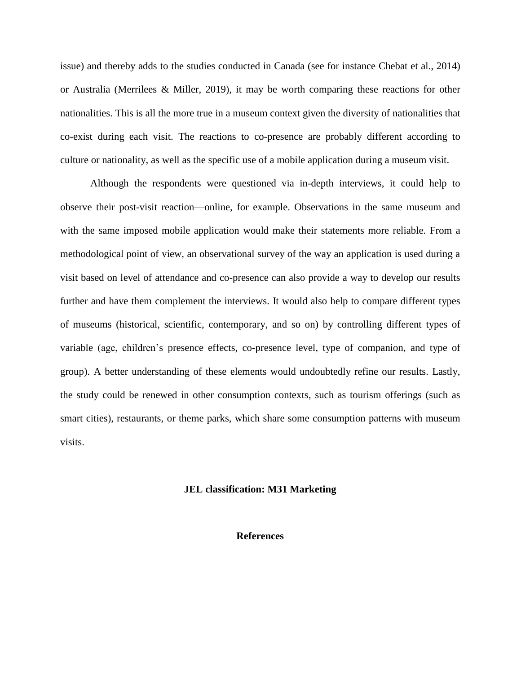issue) and thereby adds to the studies conducted in Canada (see for instance Chebat et al., 2014) or Australia (Merrilees & Miller, 2019), it may be worth comparing these reactions for other nationalities. This is all the more true in a museum context given the diversity of nationalities that co-exist during each visit. The reactions to co-presence are probably different according to culture or nationality, as well as the specific use of a mobile application during a museum visit.

Although the respondents were questioned via in-depth interviews, it could help to observe their post-visit reaction—online, for example. Observations in the same museum and with the same imposed mobile application would make their statements more reliable. From a methodological point of view, an observational survey of the way an application is used during a visit based on level of attendance and co-presence can also provide a way to develop our results further and have them complement the interviews. It would also help to compare different types of museums (historical, scientific, contemporary, and so on) by controlling different types of variable (age, children's presence effects, co-presence level, type of companion, and type of group). A better understanding of these elements would undoubtedly refine our results. Lastly, the study could be renewed in other consumption contexts, such as tourism offerings (such as smart cities), restaurants, or theme parks, which share some consumption patterns with museum visits.

# **JEL classification: M31 Marketing**

**References**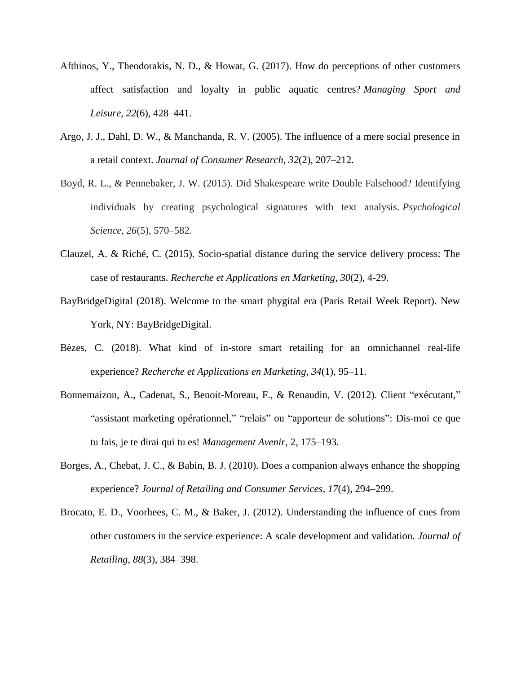- Afthinos, Y., Theodorakis, N. D., & Howat, G. (2017). How do perceptions of other customers affect satisfaction and loyalty in public aquatic centres? *Managing Sport and Leisure, 22*(6), 428–441.
- Argo, J. J., Dahl, D. W., & Manchanda, R. V. (2005). The influence of a mere social presence in a retail context. *Journal of Consumer Research, 32*(2), 207–212.
- Boyd, R. L., & Pennebaker, J. W. (2015). Did Shakespeare write Double Falsehood? Identifying individuals by creating psychological signatures with text analysis. *Psychological Science*, *26*(5), 570–582.
- Clauzel, A. & Riché, C. (2015). Socio-spatial distance during the service delivery process: The case of restaurants. *Recherche et Applications en Marketing*, *30*(2), 4-29.
- BayBridgeDigital (2018). Welcome to the smart phygital era (Paris Retail Week Report). New York, NY: BayBridgeDigital.
- Bèzes, C. (2018). What kind of in-store smart retailing for an omnichannel real-life experience? *Recherche et Applications en Marketing, 34*(1), 95–11.
- Bonnemaizon, A., Cadenat, S., Benoit-Moreau, F., & Renaudin, V. (2012). Client "exécutant," "assistant marketing opérationnel," "relais" ou "apporteur de solutions": Dis-moi ce que tu fais, je te dirai qui tu es! *Management Avenir,* 2, 175–193.
- Borges, A., Chebat, J. C., & Babin, B. J. (2010). Does a companion always enhance the shopping experience? *Journal of Retailing and Consumer Services, 17*(4), 294–299.
- Brocato, E. D., Voorhees, C. M., & Baker, J. (2012). Understanding the influence of cues from other customers in the service experience: A scale development and validation. *Journal of Retailing, 88*(3), 384–398.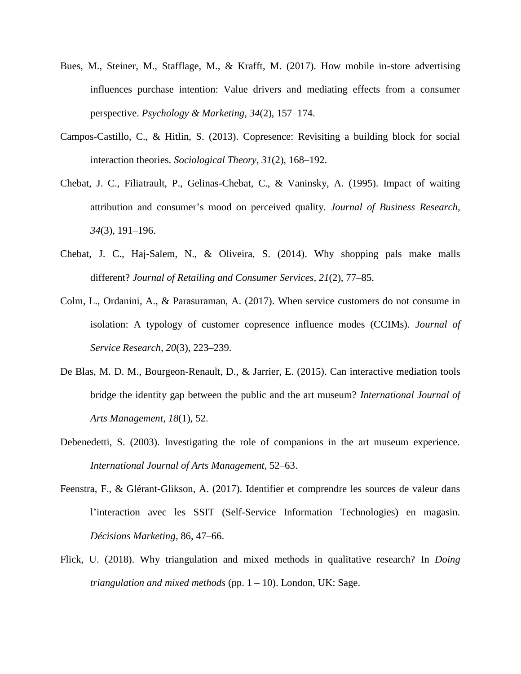- Bues, M., Steiner, M., Stafflage, M., & Krafft, M. (2017). How mobile in-store advertising influences purchase intention: Value drivers and mediating effects from a consumer perspective. *Psychology & Marketing, 34*(2), 157–174.
- Campos-Castillo, C., & Hitlin, S. (2013). Copresence: Revisiting a building block for social interaction theories. *Sociological Theory, 31*(2), 168–192.
- Chebat, J. C., Filiatrault, P., Gelinas-Chebat, C., & Vaninsky, A. (1995). Impact of waiting attribution and consumer's mood on perceived quality. *Journal of Business Research, 34*(3), 191–196.
- Chebat, J. C., Haj-Salem, N., & Oliveira, S. (2014). Why shopping pals make malls different? *Journal of Retailing and Consumer Services, 21*(2), 77–85.
- Colm, L., Ordanini, A., & Parasuraman, A. (2017). When service customers do not consume in isolation: A typology of customer copresence influence modes (CCIMs). *Journal of Service Research, 20*(3), 223–239.
- De Blas, M. D. M., Bourgeon-Renault, D., & Jarrier, E. (2015). Can interactive mediation tools bridge the identity gap between the public and the art museum? *International Journal of Arts Management, 18*(1), 52.
- Debenedetti, S. (2003). Investigating the role of companions in the art museum experience. *International Journal of Arts Management,* 52–63.
- Feenstra, F., & Glérant-Glikson, A. (2017). Identifier et comprendre les sources de valeur dans l'interaction avec les SSIT (Self-Service Information Technologies) en magasin. *Décisions Marketing,* 86, 47–66.
- Flick, U. (2018). Why triangulation and mixed methods in qualitative research? In *Doing triangulation and mixed methods* (pp. 1 – 10). London, UK: Sage.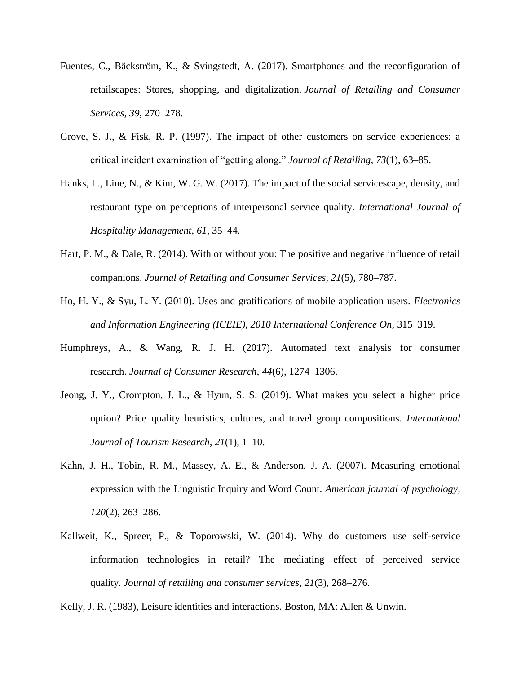- Fuentes, C., Bäckström, K., & Svingstedt, A. (2017). Smartphones and the reconfiguration of retailscapes: Stores, shopping, and digitalization. *Journal of Retailing and Consumer Services, 39*, 270–278.
- Grove, S. J., & Fisk, R. P. (1997). The impact of other customers on service experiences: a critical incident examination of "getting along." *Journal of Retailing, 73*(1), 63–85.
- Hanks, L., Line, N., & Kim, W. G. W. (2017). The impact of the social servicescape, density, and restaurant type on perceptions of interpersonal service quality. *International Journal of Hospitality Management, 61*, 35–44.
- Hart, P. M., & Dale, R. (2014). With or without you: The positive and negative influence of retail companions. *Journal of Retailing and Consumer Services, 21*(5), 780–787.
- Ho, H. Y., & Syu, L. Y. (2010). Uses and gratifications of mobile application users. *Electronics and Information Engineering (ICEIE), 2010 International Conference On,* 315–319.
- Humphreys, A., & Wang, R. J. H. (2017). Automated text analysis for consumer research. *Journal of Consumer Research, 44*(6), 1274–1306.
- Jeong, J. Y., Crompton, J. L., & Hyun, S. S. (2019). What makes you select a higher price option? Price–quality heuristics, cultures, and travel group compositions. *International Journal of Tourism Research, 21*(1), 1–10.
- Kahn, J. H., Tobin, R. M., Massey, A. E., & Anderson, J. A. (2007). Measuring emotional expression with the Linguistic Inquiry and Word Count. *American journal of psychology, 120*(2), 263–286.
- Kallweit, K., Spreer, P., & Toporowski, W. (2014). Why do customers use self-service information technologies in retail? The mediating effect of perceived service quality. *Journal of retailing and consumer services, 21*(3), 268–276.

Kelly, J. R. (1983), Leisure identities and interactions. Boston, MA: Allen & Unwin.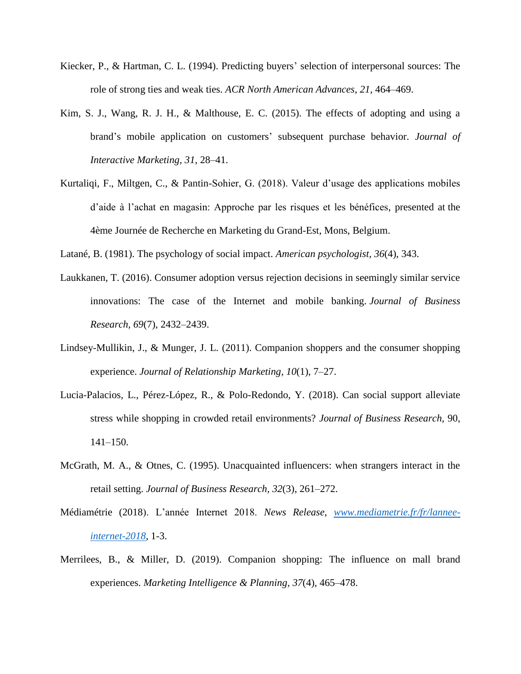- Kiecker, P., & Hartman, C. L. (1994). Predicting buyers' selection of interpersonal sources: The role of strong ties and weak ties. *ACR North American Advances, 21*, 464–469.
- Kim, S. J., Wang, R. J. H., & Malthouse, E. C. (2015). The effects of adopting and using a brand's mobile application on customers' subsequent purchase behavior. *Journal of Interactive Marketing, 31*, 28–41.
- Kurtaliqi, F., Miltgen, C., & Pantin-Sohier, G. (2018). Valeur d'usage des applications mobiles d'aide à l'achat en magasin: Approche par les risques et les bénéfices, presented at the 4ème Journée de Recherche en Marketing du Grand-Est, Mons, Belgium.

Latané, B. (1981). The psychology of social impact. *American psychologist, 36*(4), 343.

- Laukkanen, T. (2016). Consumer adoption versus rejection decisions in seemingly similar service innovations: The case of the Internet and mobile banking. *Journal of Business Research, 69*(7), 2432–2439.
- Lindsey-Mullikin, J., & Munger, J. L. (2011). Companion shoppers and the consumer shopping experience. *Journal of Relationship Marketing, 10*(1), 7–27.
- Lucia-Palacios, L., Pérez-López, R., & Polo-Redondo, Y. (2018). Can social support alleviate stress while shopping in crowded retail environments? *Journal of Business Research,* 90, 141–150.
- McGrath, M. A., & Otnes, C. (1995). Unacquainted influencers: when strangers interact in the retail setting. *Journal of Business Research, 32*(3), 261–272.
- Médiamétrie (2018). L'année Internet 2018. *News Release*, *[www.mediametrie.fr/fr/lannee](http://www.mediametrie.fr/fr/lannee-internet-2018)[internet-2018](http://www.mediametrie.fr/fr/lannee-internet-2018)*, 1-3.
- Merrilees, B., & Miller, D. (2019). Companion shopping: The influence on mall brand experiences. *Marketing Intelligence & Planning, 37*(4), 465–478.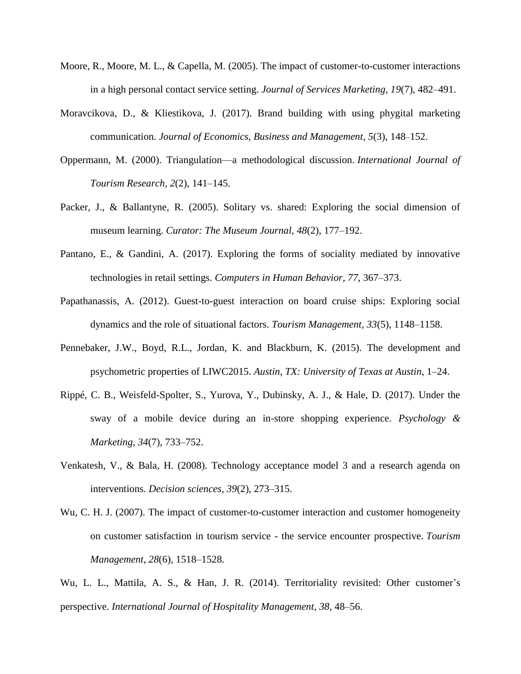- Moore, R., Moore, M. L., & Capella, M. (2005). The impact of customer-to-customer interactions in a high personal contact service setting. *Journal of Services Marketing, 19*(7), 482–491.
- Moravcikova, D., & Kliestikova, J. (2017). Brand building with using phygital marketing communication. *Journal of Economics, Business and Management, 5*(3), 148–152.
- Oppermann, M. (2000). Triangulation—a methodological discussion. *International Journal of Tourism Research, 2*(2), 141–145.
- Packer, J., & Ballantyne, R. (2005). Solitary vs. shared: Exploring the social dimension of museum learning. *Curator: The Museum Journal, 48*(2), 177–192.
- Pantano, E., & Gandini, A. (2017). Exploring the forms of sociality mediated by innovative technologies in retail settings. *Computers in Human Behavior, 77*, 367–373.
- Papathanassis, A. (2012). Guest-to-guest interaction on board cruise ships: Exploring social dynamics and the role of situational factors. *Tourism Management, 33*(5), 1148–1158.
- Pennebaker, J.W., Boyd, R.L., Jordan, K. and Blackburn, K. (2015). The development and psychometric properties of LIWC2015. *Austin, TX: University of Texas at Austin*, 1–24.
- Rippé, C. B., Weisfeld-Spolter, S., Yurova, Y., Dubinsky, A. J., & Hale, D. (2017). Under the sway of a mobile device during an in-store shopping experience. *Psychology & Marketing, 34*(7), 733–752.
- Venkatesh, V., & Bala, H. (2008). Technology acceptance model 3 and a research agenda on interventions. *Decision sciences, 39*(2), 273–315.
- Wu, C. H. J. (2007). The impact of customer-to-customer interaction and customer homogeneity on customer satisfaction in tourism service - the service encounter prospective. *Tourism Management, 28*(6), 1518–1528.

Wu, L. L., Mattila, A. S., & Han, J. R. (2014). Territoriality revisited: Other customer's perspective. *International Journal of Hospitality Management, 38*, 48–56.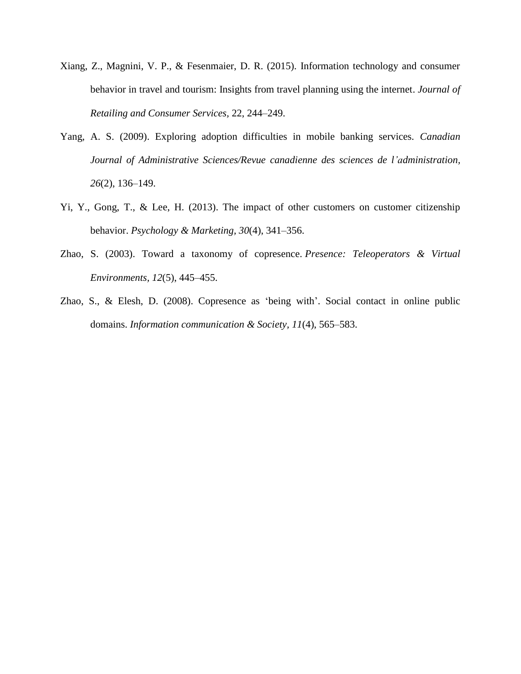- Xiang, Z., Magnini, V. P., & Fesenmaier, D. R. (2015). Information technology and consumer behavior in travel and tourism: Insights from travel planning using the internet. *Journal of Retailing and Consumer Services,* 22, 244–249.
- Yang, A. S. (2009). Exploring adoption difficulties in mobile banking services. *Canadian Journal of Administrative Sciences/Revue canadienne des sciences de l'administration, 26*(2), 136–149.
- Yi, Y., Gong, T., & Lee, H. (2013). The impact of other customers on customer citizenship behavior. *Psychology & Marketing, 30*(4), 341–356.
- Zhao, S. (2003). Toward a taxonomy of copresence. *Presence: Teleoperators & Virtual Environments, 12*(5), 445–455.
- Zhao, S., & Elesh, D. (2008). Copresence as 'being with'. Social contact in online public domains. *Information communication & Society, 11*(4), 565–583.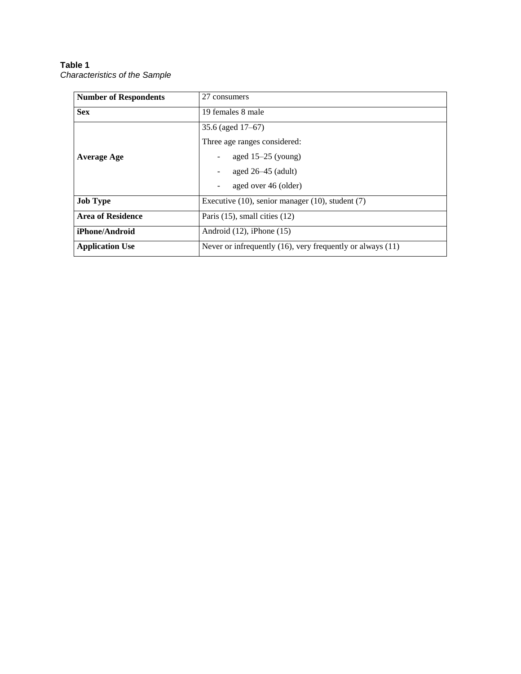**Table 1** *Characteristics of the Sample*

| <b>Number of Respondents</b> | 27 consumers                                                    |  |  |
|------------------------------|-----------------------------------------------------------------|--|--|
| <b>Sex</b>                   | 19 females 8 male                                               |  |  |
|                              | $35.6$ (aged $17-67$ )                                          |  |  |
|                              | Three age ranges considered:                                    |  |  |
| <b>Average Age</b>           | aged $15-25$ (young)                                            |  |  |
|                              | aged $26-45$ (adult)                                            |  |  |
|                              | aged over 46 (older)                                            |  |  |
| <b>Job Type</b>              | Executive $(10)$ , senior manager $(10)$ , student $(7)$        |  |  |
| <b>Area of Residence</b>     | Paris $(15)$ , small cities $(12)$                              |  |  |
| iPhone/Android               | Android $(12)$ , iPhone $(15)$                                  |  |  |
| <b>Application Use</b>       | Never or infrequently $(16)$ , very frequently or always $(11)$ |  |  |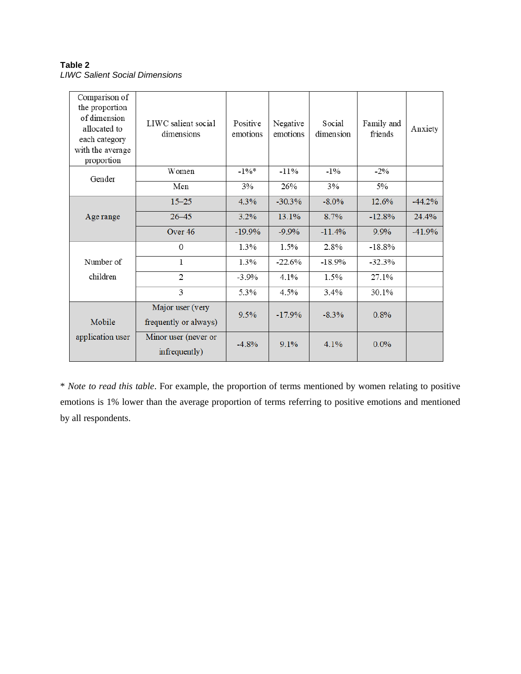# **Table 2** *LIWC Salient Social Dimensions*

| Comparison of<br>the proportion<br>of dimension<br>allocated to<br>each category<br>with the average<br>proportion | LIWC salient social<br>dimensions     | Positive<br>emotions | Negative<br>emotions | Social<br>dimension | Family and<br>friends | Anxiety  |
|--------------------------------------------------------------------------------------------------------------------|---------------------------------------|----------------------|----------------------|---------------------|-----------------------|----------|
| Gender                                                                                                             | Women                                 | $-1\%*$              | $-11%$               | $-1\%$              | $-2\%$                |          |
|                                                                                                                    | Men                                   | 3%                   | 26%                  | 3%                  | $5\%$                 |          |
|                                                                                                                    | $15 - 25$                             | 4.3%                 | $-30.3%$             | $-8.0\%$            | 12.6%                 | $-44.2%$ |
| Age range                                                                                                          | $26 - 45$                             | 3.2%                 | 13.1%                | 8.7%                | $-12.8%$              | 24.4%    |
|                                                                                                                    | Over <sub>46</sub>                    | $-19.9%$             | $-9.9%$              | $-11.4%$            | $9.9\%$               | $-41.9%$ |
|                                                                                                                    | $\Omega$                              | 1.3%                 | 1.5%                 | 2.8%                | $-18.8%$              |          |
| Number of                                                                                                          | $\mathbf{1}$                          | 1.3%                 | $-22.6%$             | $-18.9%$            | $-32.3%$              |          |
| children                                                                                                           | 2                                     | $-3.9\%$             | 4.1%                 | 1.5%                | 27.1%                 |          |
|                                                                                                                    | 3                                     | 5.3%                 | 4.5%                 | 3.4%                | 30.1%                 |          |
| Major user (very<br>Mobile<br>frequently or always)                                                                |                                       | 9.5%                 | $-17.9%$             | $-8.3%$             | 0.8%                  |          |
| application user                                                                                                   | Minor user (never or<br>infrequently) | $-4.8%$              | $9.1\%$              | 4.1%                | $0.0\%$               |          |

\* *Note to read this table*. For example, the proportion of terms mentioned by women relating to positive emotions is 1% lower than the average proportion of terms referring to positive emotions and mentioned by all respondents.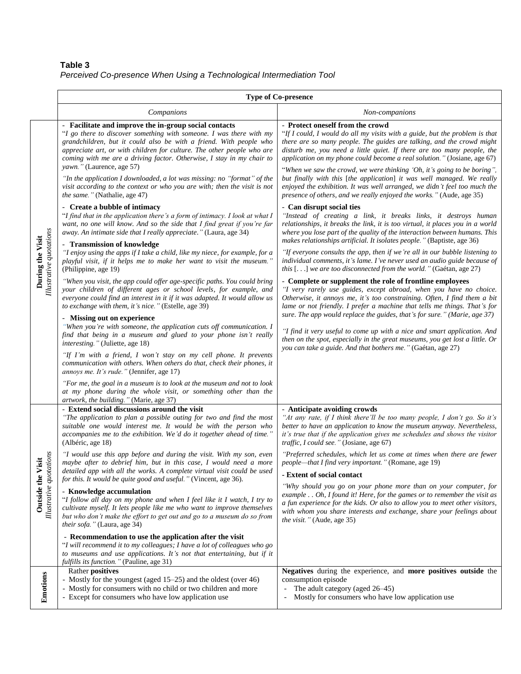# **Table 3** *Perceived Co-presence When Using a Technological Intermediation Tool*

|                                                      | <b>Type of Co-presence</b>                                                                                                                                                                                                                                                                                                                                   |                                                                                                                                                                                                                                                                                                                                                |  |  |  |  |
|------------------------------------------------------|--------------------------------------------------------------------------------------------------------------------------------------------------------------------------------------------------------------------------------------------------------------------------------------------------------------------------------------------------------------|------------------------------------------------------------------------------------------------------------------------------------------------------------------------------------------------------------------------------------------------------------------------------------------------------------------------------------------------|--|--|--|--|
|                                                      | Companions                                                                                                                                                                                                                                                                                                                                                   | Non-companions                                                                                                                                                                                                                                                                                                                                 |  |  |  |  |
| Illustrative quotations<br>During the Visit          | - Facilitate and improve the in-group social contacts<br>"I go there to discover something with someone. I was there with my<br>grandchildren, but it could also be with a friend. With people who<br>appreciate art, or with children for culture. The other people who are<br>coming with me are a driving factor. Otherwise, I stay in my chair to        | - Protect oneself from the crowd<br>"If I could, I would do all my visits with a guide, but the problem is that<br>there are so many people. The guides are talking, and the crowd might<br>disturb me, you need a little quiet. If there are too many people, the<br>application on my phone could become a real solution." (Josiane, age 67) |  |  |  |  |
|                                                      | yawn." (Laurence, age 57)<br>"In the application I downloaded, a lot was missing: no "format" of the<br>visit according to the context or who you are with; then the visit is not<br>the same." (Nathalie, age 47)                                                                                                                                           | "When we saw the crowd, we were thinking 'Oh, it's going to be boring",<br>but finally with this [the application] it was well managed. We really<br>enjoyed the exhibition. It was well arranged, we didn't feel too much the<br>presence of others, and we really enjoyed the works." (Aude, age 35)                                         |  |  |  |  |
|                                                      | - Create a bubble of intimacy<br>"I find that in the application there's a form of intimacy. I look at what I<br>want, no one will know. And so the side that I find great if you're far<br>away. An intimate side that I really appreciate." (Laura, age 34)                                                                                                | - Can disrupt social ties<br>"Instead of creating a link, it breaks links, it destroys human<br>relationships, it breaks the link, it is too virtual, it places you in a world<br>where you lose part of the quality of the interaction between humans. This<br>makes relationships artificial. It isolates people." (Baptiste, age 36)        |  |  |  |  |
|                                                      | <b>Transmission of knowledge</b><br>"I enjoy using the apps if I take a child, like my niece, for example, for a<br>playful visit, if it helps me to make her want to visit the museum."<br>(Philippine, age 19)                                                                                                                                             | "If everyone consults the app, then if we're all in our bubble listening to<br>individual comments, it's lame. I've never used an audio guide because of<br>this [] we are too disconnected from the world." (Gaétan, age 27)                                                                                                                  |  |  |  |  |
|                                                      | "When you visit, the app could offer age-specific paths. You could bring<br>your children of different ages or school levels, for example, and<br>everyone could find an interest in it if it was adapted. It would allow us<br>to exchange with them, it's nice." (Estelle, age 39)                                                                         | - Complete or supplement the role of frontline employees<br>"I very rarely use guides, except abroad, when you have no choice.<br>Otherwise, it annoys me, it's too constraining. Often, I find them a bit<br>lame or not friendly. I prefer a machine that tells me things. That's for                                                        |  |  |  |  |
|                                                      | - Missing out on experience<br>"When you're with someone, the application cuts off communication. I<br>find that being in a museum and glued to your phone isn't really<br>interesting." (Juliette, age 18)                                                                                                                                                  | sure. The app would replace the guides, that's for sure." (Marie, age 37)<br>"I find it very useful to come up with a nice and smart application. And<br>then on the spot, especially in the great museums, you get lost a little. Or<br>you can take a guide. And that bothers me." (Gaétan, age 27)                                          |  |  |  |  |
|                                                      | "If I'm with a friend, I won't stay on my cell phone. It prevents<br>communication with others. When others do that, check their phones, it<br>annoys me. It's rude." (Jennifer, age 17)                                                                                                                                                                     |                                                                                                                                                                                                                                                                                                                                                |  |  |  |  |
|                                                      | "For me, the goal in a museum is to look at the museum and not to look<br>at my phone during the whole visit, or something other than the<br>artwork, the building." (Marie, age 37)                                                                                                                                                                         |                                                                                                                                                                                                                                                                                                                                                |  |  |  |  |
| tions<br>isit<br>Outside the V<br>Illustrative quota | - Extend social discussions around the visit<br>"The application to plan a possible outing for two and find the most<br>suitable one would interest me. It would be with the person who<br>accompanies me to the exhibition. We'd do it together ahead of time."<br>(Albéric, age 18)                                                                        | - Anticipate avoiding crowds<br>"At any rate, if I think there'll be too many people, I don't go. So it's<br>better to have an application to know the museum anyway. Nevertheless,<br>it's true that if the application gives me schedules and shows the visitor<br>traffic, I could see." (Josiane, age 67)                                  |  |  |  |  |
|                                                      | "I would use this app before and during the visit. With my son, even<br>maybe after to debrief him, but in this case, I would need a more<br>detailed app with all the works. A complete virtual visit could be used                                                                                                                                         | "Preferred schedules, which let us come at times when there are fewer<br>people-that I find very important." (Romane, age 19)<br>- Extent of social contact                                                                                                                                                                                    |  |  |  |  |
|                                                      | for this. It would be quite good and useful." (Vincent, age 36).<br>- Knowledge accumulation<br>"I follow all day on my phone and when I feel like it I watch, I try to<br>cultivate myself. It lets people like me who want to improve themselves<br>but who don't make the effort to get out and go to a museum do so from<br>their sofa." (Laura, age 34) | "Why should you go on your phone more than on your computer, for<br>example Oh, I found it! Here, for the games or to remember the visit as<br>a fun experience for the kids. Or also to allow you to meet other visitors,<br>with whom you share interests and exchange, share your feelings about<br>the visit." (Aude, age 35)              |  |  |  |  |
|                                                      | - Recommendation to use the application after the visit<br>"I will recommend it to my colleagues; I have a lot of colleagues who go<br>to museums and use applications. It's not that entertaining, but if it<br><i>fulfills its function.</i> " (Pauline, age 31)                                                                                           |                                                                                                                                                                                                                                                                                                                                                |  |  |  |  |
| Emotions                                             | Rather positives<br>- Mostly for the youngest (aged 15–25) and the oldest (over 46)<br>- Mostly for consumers with no child or two children and more<br>- Except for consumers who have low application use                                                                                                                                                  | Negatives during the experience, and more positives outside the<br>consumption episode<br>The adult category (aged 26–45)<br>$\overline{\phantom{a}}$<br>Mostly for consumers who have low application use                                                                                                                                     |  |  |  |  |